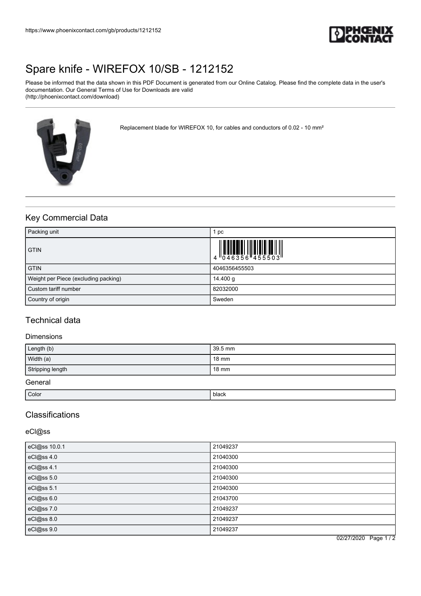

# [Spare knife - WIREFOX 10/SB - 1212152](https://www.phoenixcontact.com/gb/products/1212152)

Please be informed that the data shown in this PDF Document is generated from our Online Catalog. Please find the complete data in the user's documentation. Our General Terms of Use for Downloads are valid (http://phoenixcontact.com/download)



Replacement blade for WIREFOX 10, for cables and conductors of 0.02 - 10 mm²

# Key Commercial Data

| Packing unit                         | 1 pc.         |
|--------------------------------------|---------------|
| <b>GTIN</b>                          |               |
| <b>GTIN</b>                          | 4046356455503 |
| Weight per Piece (excluding packing) | 14.400 g      |
| Custom tariff number                 | 82032000      |
| Country of origin                    | Sweden        |

### Technical data

### Dimensions

| Length (b)       | 39.5 mm |
|------------------|---------|
| Width (a)        | 18 mm   |
| Stripping length | 18 mm   |
| General          |         |

| Color | black |
|-------|-------|
|       |       |

# Classifications

### eCl@ss

| eCl@ss 10.0.1 | 21049237 |
|---------------|----------|
| eCl@ss 4.0    | 21040300 |
| eCl@ss 4.1    | 21040300 |
| eCl@ss 5.0    | 21040300 |
| eCl@ss 5.1    | 21040300 |
| eCl@ss 6.0    | 21043700 |
| eCl@ss 7.0    | 21049237 |
| eCl@ss 8.0    | 21049237 |
| eCl@ss 9.0    | 21049237 |

02/27/2020 Page 1 / 2